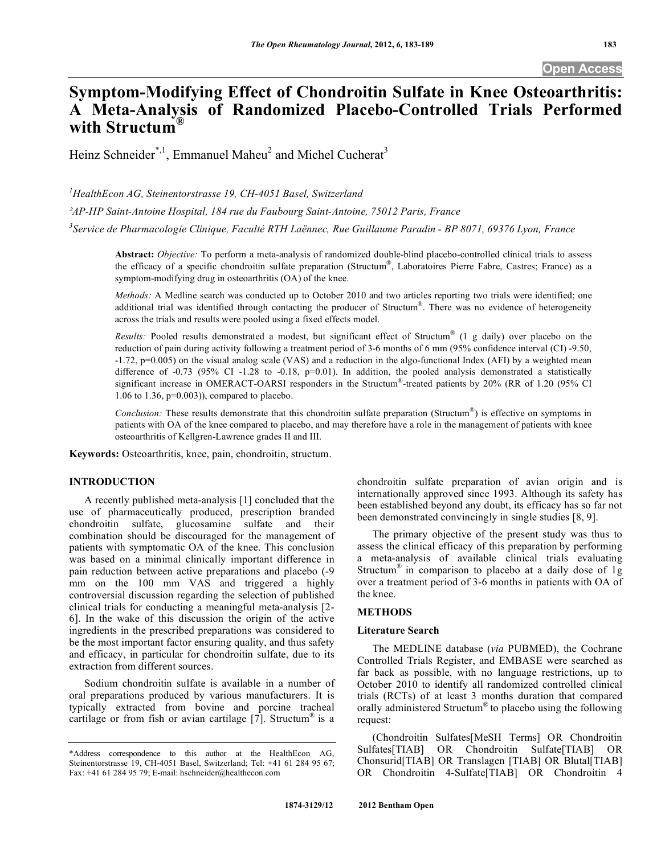## **Symptom-Modifying Effect of Chondroitin Sulfate in Knee Osteoarthritis: A Meta-Analysis of Randomized Placebo-Controlled Trials Performed with Structum®**

Heinz Schneider<sup>\*,1</sup>, Emmanuel Maheu<sup>2</sup> and Michel Cucherat<sup>3</sup>

*1 HealthEcon AG, Steinentorstrasse 19, CH-4051 Basel, Switzerland* 

*AP-HP Saint-Antoine Hospital, 184 rue du Faubourg Saint-Antoine, 75012 Paris, France* 

*3 Service de Pharmacologie Clinique, Faculté RTH Laënnec, Rue Guillaume Paradin - BP 8071, 69376 Lyon, France* 

**Abstract:** *Objective:* To perform a meta-analysis of randomized double-blind placebo-controlled clinical trials to assess the efficacy of a specific chondroitin sulfate preparation (Structum®, Laboratoires Pierre Fabre, Castres; France) as a symptom-modifying drug in osteoarthritis (OA) of the knee.

*Methods:* A Medline search was conducted up to October 2010 and two articles reporting two trials were identified; one additional trial was identified through contacting the producer of Structum®. There was no evidence of heterogeneity across the trials and results were pooled using a fixed effects model.

*Results:* Pooled results demonstrated a modest, but significant effect of Structum® (1 g daily) over placebo on the reduction of pain during activity following a treatment period of 3-6 months of 6 mm (95% confidence interval (CI) -9.50, -1.72, p=0.005) on the visual analog scale (VAS) and a reduction in the algo-functional Index (AFI) by a weighted mean difference of -0.73 (95% CI -1.28 to -0.18, p=0.01). In addition, the pooled analysis demonstrated a statistically significant increase in OMERACT-OARSI responders in the Structum®-treated patients by 20% (RR of 1.20 (95% CI 1.06 to 1.36, p=0.003)), compared to placebo.

*Conclusion:* These results demonstrate that this chondroitin sulfate preparation (Structum<sup>®</sup>) is effective on symptoms in patients with OA of the knee compared to placebo, and may therefore have a role in the management of patients with knee osteoarthritis of Kellgren-Lawrence grades II and III.

**Keywords:** Osteoarthritis, knee, pain, chondroitin, structum.

## **INTRODUCTION**

 A recently published meta-analysis [1] concluded that the use of pharmaceutically produced, prescription branded chondroitin sulfate, glucosamine sulfate and their combination should be discouraged for the management of patients with symptomatic OA of the knee. This conclusion was based on a minimal clinically important difference in pain reduction between active preparations and placebo (-9 mm on the 100 mm VAS and triggered a highly controversial discussion regarding the selection of published clinical trials for conducting a meaningful meta-analysis [2- 6]. In the wake of this discussion the origin of the active ingredients in the prescribed preparations was considered to be the most important factor ensuring quality, and thus safety and efficacy, in particular for chondroitin sulfate, due to its extraction from different sources.

 Sodium chondroitin sulfate is available in a number of oral preparations produced by various manufacturers. It is typically extracted from bovine and porcine tracheal cartilage or from fish or avian cartilage  $[7]$ . Structum<sup>®</sup> is a

chondroitin sulfate preparation of avian origin and is internationally approved since 1993. Although its safety has been established beyond any doubt, its efficacy has so far not been demonstrated convincingly in single studies [8, 9].

 The primary objective of the present study was thus to assess the clinical efficacy of this preparation by performing a meta-analysis of available clinical trials evaluating Structum<sup>®</sup> in comparison to placebo at a daily dose of 1g over a treatment period of 3-6 months in patients with OA of the knee.

### **METHODS**

### **Literature Search**

 The MEDLINE database (*via* PUBMED), the Cochrane Controlled Trials Register, and EMBASE were searched as far back as possible, with no language restrictions, up to October 2010 to identify all randomized controlled clinical trials (RCTs) of at least 3 months duration that compared orally administered Structum® to placebo using the following request:

 (Chondroitin Sulfates[MeSH Terms] OR Chondroitin Sulfates[TIAB] OR Chondroitin Sulfate[TIAB] OR Chonsurid[TIAB] OR Translagen [TIAB] OR Blutal[TIAB] OR Chondroitin 4-Sulfate[TIAB] OR Chondroitin 4

<sup>\*</sup>Address correspondence to this author at the HealthEcon AG, Steinentorstrasse 19, CH-4051 Basel, Switzerland; Tel: +41 61 284 95 67; Fax: +41 61 284 95 79; E-mail: hschneider@healthecon.com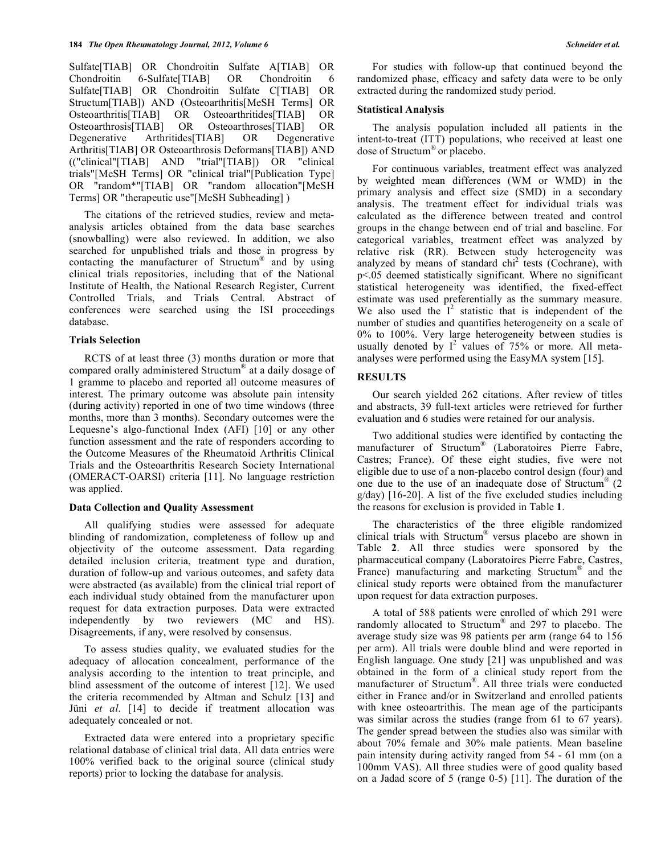Sulfate[TIAB] OR Chondroitin Sulfate A[TIAB] OR Chondroitin 6-Sulfate[TIAB] OR Chondroitin 6 Sulfate[TIAB] OR Chondroitin Sulfate C[TIAB] OR Structum[TIAB]) AND (Osteoarthritis[MeSH Terms] OR Osteoarthritis[TIAB] OR Osteoarthritides[TIAB] OR Osteoarthrosis[TIAB] OR Osteoarthroses[TIAB] OR Degenerative Arthritides[TIAB] OR Degenerative Arthritis[TIAB] OR Osteoarthrosis Deformans[TIAB]) AND (("clinical"[TIAB] AND "trial"[TIAB]) OR "clinical trials"[MeSH Terms] OR "clinical trial"[Publication Type] OR "random\*"[TIAB] OR "random allocation"[MeSH Terms] OR "therapeutic use"[MeSH Subheading] )

 The citations of the retrieved studies, review and metaanalysis articles obtained from the data base searches (snowballing) were also reviewed. In addition, we also searched for unpublished trials and those in progress by contacting the manufacturer of Structum® and by using clinical trials repositories, including that of the National Institute of Health, the National Research Register, Current Controlled Trials, and Trials Central. Abstract of conferences were searched using the ISI proceedings database.

### **Trials Selection**

 RCTS of at least three (3) months duration or more that compared orally administered Structum® at a daily dosage of 1 gramme to placebo and reported all outcome measures of interest. The primary outcome was absolute pain intensity (during activity) reported in one of two time windows (three months, more than 3 months). Secondary outcomes were the Lequesne's algo-functional Index (AFI) [10] or any other function assessment and the rate of responders according to the Outcome Measures of the Rheumatoid Arthritis Clinical Trials and the Osteoarthritis Research Society International (OMERACT-OARSI) criteria [11]. No language restriction was applied.

### **Data Collection and Quality Assessment**

 All qualifying studies were assessed for adequate blinding of randomization, completeness of follow up and objectivity of the outcome assessment. Data regarding detailed inclusion criteria, treatment type and duration, duration of follow-up and various outcomes, and safety data were abstracted (as available) from the clinical trial report of each individual study obtained from the manufacturer upon request for data extraction purposes. Data were extracted independently by two reviewers (MC and HS). Disagreements, if any, were resolved by consensus.

 To assess studies quality, we evaluated studies for the adequacy of allocation concealment, performance of the analysis according to the intention to treat principle, and blind assessment of the outcome of interest [12]. We used the criteria recommended by Altman and Schulz [13] and Jüni *et al*. [14] to decide if treatment allocation was adequately concealed or not.

 Extracted data were entered into a proprietary specific relational database of clinical trial data. All data entries were 100% verified back to the original source (clinical study reports) prior to locking the database for analysis.

 For studies with follow-up that continued beyond the randomized phase, efficacy and safety data were to be only extracted during the randomized study period.

### **Statistical Analysis**

 The analysis population included all patients in the intent-to-treat (ITT) populations, who received at least one dose of Structum® or placebo.

 For continuous variables, treatment effect was analyzed by weighted mean differences (WM or WMD) in the primary analysis and effect size (SMD) in a secondary analysis. The treatment effect for individual trials was calculated as the difference between treated and control groups in the change between end of trial and baseline. For categorical variables, treatment effect was analyzed by relative risk (RR). Between study heterogeneity was analyzed by means of standard chi<sup>2</sup> tests (Cochrane), with p<.05 deemed statistically significant. Where no significant statistical heterogeneity was identified, the fixed-effect estimate was used preferentially as the summary measure. We also used the  $I^2$  statistic that is independent of the number of studies and quantifies heterogeneity on a scale of 0% to 100%. Very large heterogeneity between studies is usually denoted by  $I^2$  values of 75% or more. All metaanalyses were performed using the EasyMA system [15].

## **RESULTS**

 Our search yielded 262 citations. After review of titles and abstracts, 39 full-text articles were retrieved for further evaluation and 6 studies were retained for our analysis.

 Two additional studies were identified by contacting the manufacturer of Structum® (Laboratoires Pierre Fabre, Castres; France). Of these eight studies, five were not eligible due to use of a non-placebo control design (four) and one due to the use of an inadequate dose of Structum<sup>®</sup>  $(2)$ g/day) [16-20]. A list of the five excluded studies including the reasons for exclusion is provided in Table **1**.

 The characteristics of the three eligible randomized clinical trials with Structum® versus placebo are shown in Table **2**. All three studies were sponsored by the pharmaceutical company (Laboratoires Pierre Fabre, Castres, France) manufacturing and marketing Structum<sup>®</sup> and the clinical study reports were obtained from the manufacturer upon request for data extraction purposes.

 A total of 588 patients were enrolled of which 291 were randomly allocated to Structum® and 297 to placebo. The average study size was 98 patients per arm (range 64 to 156 per arm). All trials were double blind and were reported in English language. One study [21] was unpublished and was obtained in the form of a clinical study report from the manufacturer of Structum®. All three trials were conducted either in France and/or in Switzerland and enrolled patients with knee osteoartrithis. The mean age of the participants was similar across the studies (range from 61 to 67 years). The gender spread between the studies also was similar with about 70% female and 30% male patients. Mean baseline pain intensity during activity ranged from 54 - 61 mm (on a 100mm VAS). All three studies were of good quality based on a Jadad score of 5 (range 0-5) [11]. The duration of the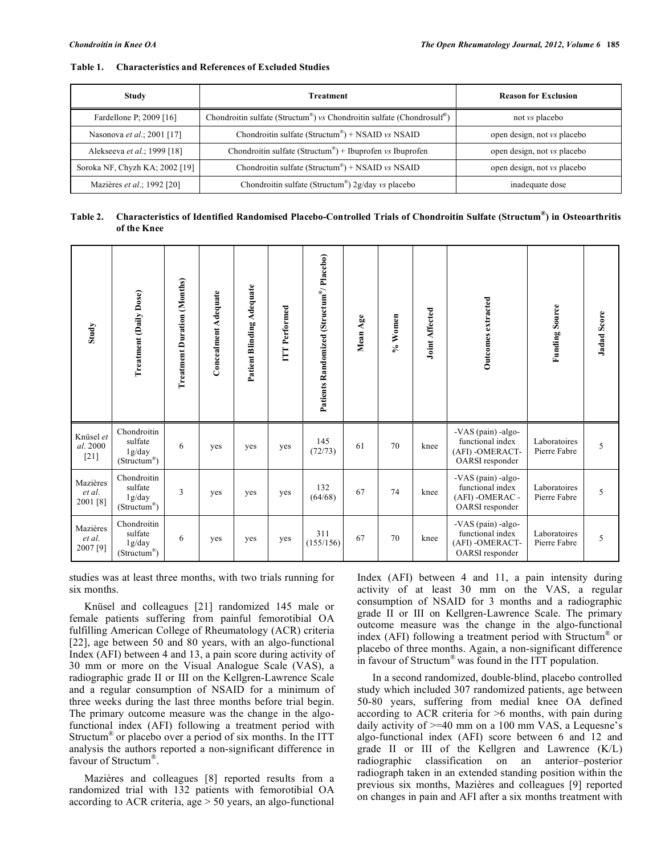| Study                          | <b>Treatment</b>                                                                                | <b>Reason for Exclusion</b>        |  |  |
|--------------------------------|-------------------------------------------------------------------------------------------------|------------------------------------|--|--|
| Fardellone P; 2009 [16]        | Chondroitin sulfate (Structum <sup>®</sup> ) vs Chondroitin sulfate (Chondrosulf <sup>®</sup> ) | not <i>vs</i> placebo              |  |  |
| Nasonova et al.; 2001 [17]     | Chondroitin sulfate (Structum <sup>®</sup> ) + NSAID vs NSAID                                   | open design, not <i>vs</i> placebo |  |  |
| Alekseeva et al.; 1999 [18]    | Chondroitin sulfate (Structum <sup>®</sup> ) + Ibuprofen vs Ibuprofen                           | open design, not <i>vs</i> placebo |  |  |
| Soroka NF, Chyzh KA; 2002 [19] | Chondroitin sulfate (Structum <sup>®</sup> ) + NSAID vs NSAID                                   | open design, not <i>vs</i> placebo |  |  |
| Mazières et al.; 1992 [20]     | Chondroitin sulfate (Structum <sup>®</sup> ) $2g/day$ vs placebo                                | inadequate dose                    |  |  |

#### **Table 1. Characteristics and References of Excluded Studies**

## **Table 2. Characteristics of Identified Randomised Placebo-Controlled Trials of Chondroitin Sulfate (Structum®) in Osteoarthritis of the Knee**

| Study                           | <b>Treatment (Daily Dose)</b>                                  | <b>Treatment Duration (Months)</b> | <b>Concealment Adequate</b> | Patient Blinding Adequate | ITT Performed | Patients Randomized (Structum®/Placebo) | Mean Age | % Women | <b>Joint Affected</b> | Outcomes extracted                                                            | <b>Funding Source</b>        | <b>Jadad Score</b> |
|---------------------------------|----------------------------------------------------------------|------------------------------------|-----------------------------|---------------------------|---------------|-----------------------------------------|----------|---------|-----------------------|-------------------------------------------------------------------------------|------------------------------|--------------------|
| Knüsel et<br>al. 2000<br>$[21]$ | Chondroitin<br>sulfate<br>1g/day<br>(Structum <sup>®</sup> )   | 6                                  | yes                         | yes                       | yes           | 145<br>(72/73)                          | 61       | 70      | knee                  | -VAS (pain) -algo-<br>functional index<br>(AFI) - OMERACT-<br>OARSI responder | Laboratoires<br>Pierre Fabre | 5                  |
| Mazières<br>et al.<br>2001 [8]  | Chondroitin<br>sulfate<br>1g/day<br>$(Structum^{\circledast})$ | 3                                  | yes                         | yes                       | yes           | 132<br>(64/68)                          | 67       | 74      | knee                  | -VAS (pain) -algo-<br>functional index<br>(AFI) - OMERAC -<br>OARSI responder | Laboratoires<br>Pierre Fabre | 5                  |
| Mazières<br>et al.<br>2007 [9]  | Chondroitin<br>sulfate<br>1g/day<br>(Structum®)                | 6                                  | yes                         | yes                       | yes           | 311<br>(155/156)                        | 67       | 70      | knee                  | -VAS (pain) -algo-<br>functional index<br>(AFI) -OMERACT-<br>OARSI responder  | Laboratoires<br>Pierre Fabre | 5                  |

studies was at least three months, with two trials running for six months.

 Knüsel and colleagues [21] randomized 145 male or female patients suffering from painful femorotibial OA fulfilling American College of Rheumatology (ACR) criteria [22], age between 50 and 80 years, with an algo-functional Index (AFI) between 4 and 13, a pain score during activity of 30 mm or more on the Visual Analogue Scale (VAS), a radiographic grade II or III on the Kellgren-Lawrence Scale and a regular consumption of NSAID for a minimum of three weeks during the last three months before trial begin. The primary outcome measure was the change in the algofunctional index (AFI) following a treatment period with Structum® or placebo over a period of six months. In the ITT analysis the authors reported a non-significant difference in favour of Structum®.

 Mazières and colleagues [8] reported results from a randomized trial with 132 patients with femorotibial OA according to ACR criteria, age > 50 years, an algo-functional

Index (AFI) between 4 and 11, a pain intensity during activity of at least 30 mm on the VAS, a regular consumption of NSAID for 3 months and a radiographic grade II or III on Kellgren-Lawrence Scale. The primary outcome measure was the change in the algo-functional index (AFI) following a treatment period with Structum® or placebo of three months. Again, a non-significant difference in favour of Structum<sup>®</sup> was found in the ITT population.

 In a second randomized, double-blind, placebo controlled study which included 307 randomized patients, age between 50-80 years, suffering from medial knee OA defined according to ACR criteria for >6 months, with pain during daily activity of  $\geq 40$  mm on a 100 mm VAS, a Lequesne's algo-functional index (AFI) score between 6 and 12 and grade II or III of the Kellgren and Lawrence (K/L) radiographic classification on an anterior–posterior radiograph taken in an extended standing position within the previous six months, Mazières and colleagues [9] reported on changes in pain and AFI after a six months treatment with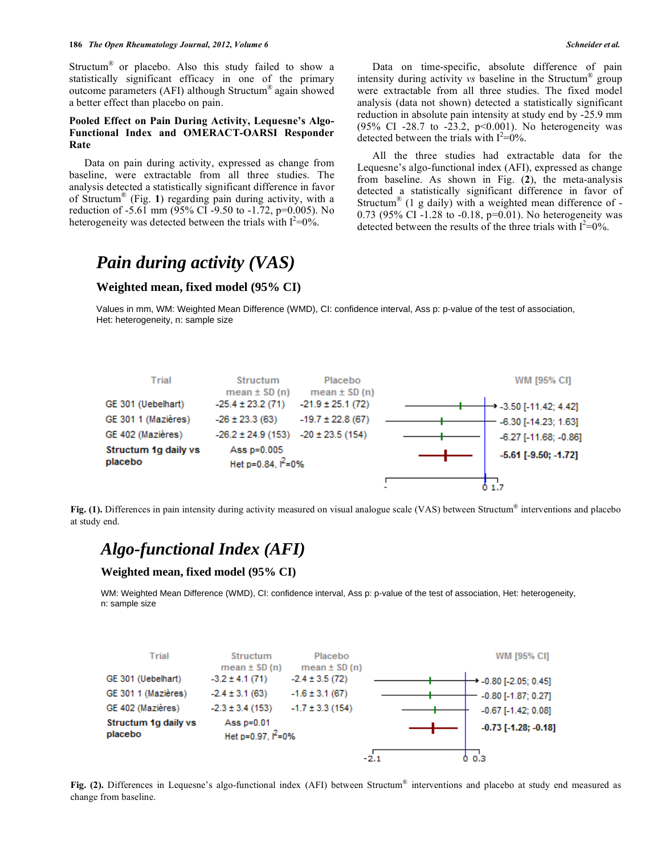Structum® or placebo. Also this study failed to show a statistically significant efficacy in one of the primary outcome parameters (AFI) although Structum® again showed a better effect than placebo on pain.

## **Pooled Effect on Pain During Activity, Lequesne's Algo-Functional Index and OMERACT-OARSI Responder Rate**

 Data on pain during activity, expressed as change from baseline, were extractable from all three studies. The analysis detected a statistically significant difference in favor of Structum® (Fig. **1**) regarding pain during activity, with a reduction of -5.61 mm (95% CI -9.50 to -1.72, p=0.005). No heterogeneity was detected between the trials with  $I^2=0\%$ .

 Data on time-specific, absolute difference of pain intensity during activity *vs* baseline in the Structum® group were extractable from all three studies. The fixed model analysis (data not shown) detected a statistically significant reduction in absolute pain intensity at study end by -25.9 mm (95% CI -28.7 to -23.2, p<0.001). No heterogeneity was detected between the trials with  $I^2=0\%$ .

 All the three studies had extractable data for the Lequesne's algo-functional index (AFI), expressed as change from baseline. As shown in Fig. (**2**), the meta-analysis detected a statistically significant difference in favor of Structum<sup>®</sup> (1 g daily) with a weighted mean difference of  $-$ 0.73 (95% CI -1.28 to -0.18, p=0.01). No heterogeneity was detected between the results of the three trials with  $I^2 = 0$ %.

# *Pain during activity (VAS)*

## **Weighted mean, fixed model (95% CI)**

Values in mm, WM: Weighted Mean Difference (WMD), CI: confidence interval, Ass p: p-value of the test of association, Het: heterogeneity, n: sample size



**Fig. (1).** Differences in pain intensity during activity measured on visual analogue scale (VAS) between Structum® interventions and placebo at study end.

## *Algo-functional Index (AFI)*

### **Weighted mean, fixed model (95% CI)**

WM: Weighted Mean Difference (WMD), CI: confidence interval, Ass p: p-value of the test of association, Het: heterogeneity, n: sample size



**Fig. (2).** Differences in Lequesne's algo-functional index (AFI) between Structum® interventions and placebo at study end measured as change from baseline.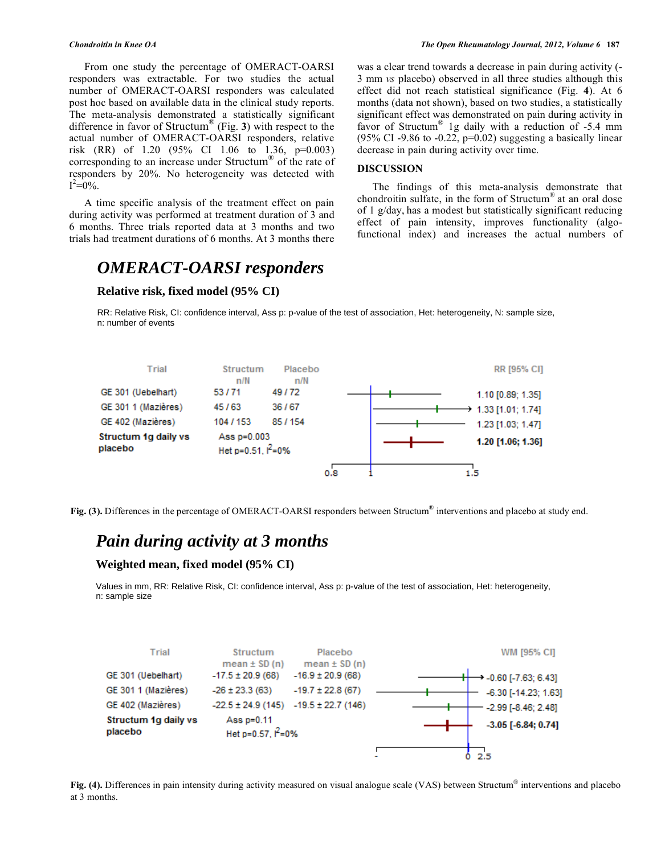From one study the percentage of OMERACT-OARSI responders was extractable. For two studies the actual number of OMERACT-OARSI responders was calculated post hoc based on available data in the clinical study reports. The meta-analysis demonstrated a statistically significant difference in favor of Structum® (Fig. **3**) with respect to the actual number of OMERACT-OARSI responders, relative risk (RR) of 1.20 (95% CI 1.06 to 1.36, p=0.003) corresponding to an increase under Structum® of the rate of responders by 20%. No heterogeneity was detected with  $I^2 = 0\%$ .

 A time specific analysis of the treatment effect on pain during activity was performed at treatment duration of 3 and 6 months. Three trials reported data at 3 months and two trials had treatment durations of 6 months. At 3 months there

## *OMERACT-OARSI responders*

## **Relative risk, fixed model (95% CI)**

was a clear trend towards a decrease in pain during activity (-

3 mm *vs* placebo) observed in all three studies although this effect did not reach statistical significance (Fig. **4**). At 6 months (data not shown), based on two studies, a statistically significant effect was demonstrated on pain during activity in favor of Structum® 1g daily with a reduction of -5.4 mm (95% CI -9.86 to -0.22,  $p=0.02$ ) suggesting a basically linear decrease in pain during activity over time.

### **DISCUSSION**

 The findings of this meta-analysis demonstrate that chondroitin sulfate, in the form of Structum® at an oral dose of 1 g/day, has a modest but statistically significant reducing effect of pain intensity, improves functionality (algofunctional index) and increases the actual numbers of

RR: Relative Risk, CI: confidence interval, Ass p: p-value of the test of association, Het: heterogeneity, N: sample size, n: number of events



**Fig. (3).** Differences in the percentage of OMERACT-OARSI responders between Structum® interventions and placebo at study end.

## *Pain during activity at 3 months*

## **Weighted mean, fixed model (95% CI)**

Values in mm, RR: Relative Risk, CI: confidence interval, Ass p: p-value of the test of association, Het: heterogeneity, n: sample size



**Fig. (4).** Differences in pain intensity during activity measured on visual analogue scale (VAS) between Structum® interventions and placebo at 3 months.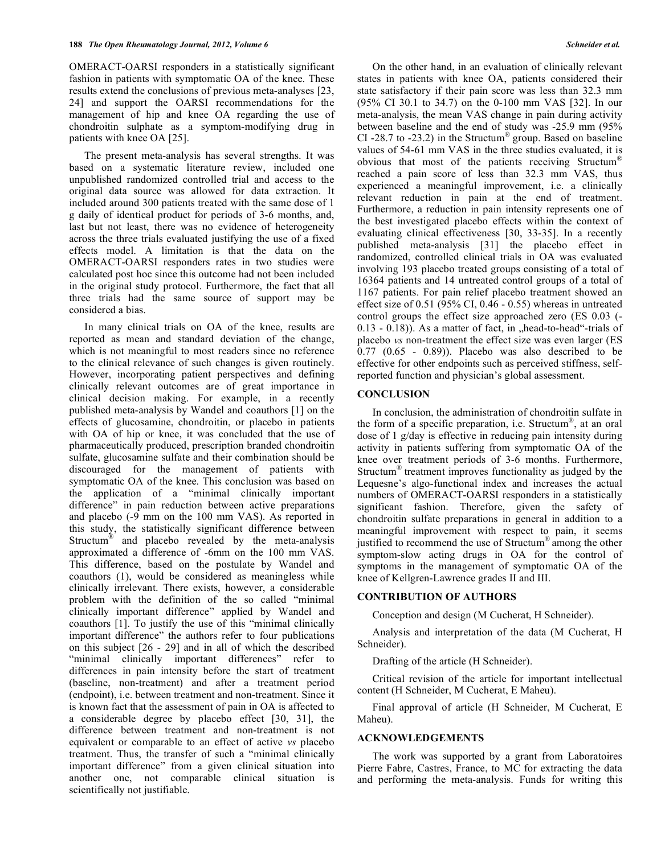OMERACT-OARSI responders in a statistically significant fashion in patients with symptomatic OA of the knee. These results extend the conclusions of previous meta-analyses [23, 24] and support the OARSI recommendations for the management of hip and knee OA regarding the use of chondroitin sulphate as a symptom-modifying drug in patients with knee OA [25].

 The present meta-analysis has several strengths. It was based on a systematic literature review, included one unpublished randomized controlled trial and access to the original data source was allowed for data extraction. It included around 300 patients treated with the same dose of 1 g daily of identical product for periods of 3-6 months, and, last but not least, there was no evidence of heterogeneity across the three trials evaluated justifying the use of a fixed effects model. A limitation is that the data on the OMERACT-OARSI responders rates in two studies were calculated post hoc since this outcome had not been included in the original study protocol. Furthermore, the fact that all three trials had the same source of support may be considered a bias.

 In many clinical trials on OA of the knee, results are reported as mean and standard deviation of the change, which is not meaningful to most readers since no reference to the clinical relevance of such changes is given routinely. However, incorporating patient perspectives and defining clinically relevant outcomes are of great importance in clinical decision making. For example, in a recently published meta-analysis by Wandel and coauthors [1] on the effects of glucosamine, chondroitin, or placebo in patients with OA of hip or knee, it was concluded that the use of pharmaceutically produced, prescription branded chondroitin sulfate, glucosamine sulfate and their combination should be discouraged for the management of patients with symptomatic OA of the knee. This conclusion was based on the application of a "minimal clinically important difference" in pain reduction between active preparations and placebo (-9 mm on the 100 mm VAS). As reported in this study, the statistically significant difference between Structum<sup>®</sup> and placebo revealed by the meta-analysis approximated a difference of -6mm on the 100 mm VAS. This difference, based on the postulate by Wandel and coauthors (1), would be considered as meaningless while clinically irrelevant. There exists, however, a considerable problem with the definition of the so called "minimal clinically important difference" applied by Wandel and coauthors [1]. To justify the use of this "minimal clinically important difference" the authors refer to four publications on this subject [26 - 29] and in all of which the described "minimal clinically important differences" refer to differences in pain intensity before the start of treatment (baseline, non-treatment) and after a treatment period (endpoint), i.e. between treatment and non-treatment. Since it is known fact that the assessment of pain in OA is affected to a considerable degree by placebo effect [30, 31], the difference between treatment and non-treatment is not equivalent or comparable to an effect of active *vs* placebo treatment. Thus, the transfer of such a "minimal clinically important difference" from a given clinical situation into another one, not comparable clinical situation is scientifically not justifiable.

 On the other hand, in an evaluation of clinically relevant states in patients with knee OA, patients considered their state satisfactory if their pain score was less than 32.3 mm (95% CI 30.1 to 34.7) on the 0-100 mm VAS [32]. In our meta-analysis, the mean VAS change in pain during activity between baseline and the end of study was -25.9 mm (95% CI -28.7 to -23.2) in the Structum<sup>®</sup> group. Based on baseline values of 54-61 mm VAS in the three studies evaluated, it is obvious that most of the patients receiving Structum® reached a pain score of less than 32.3 mm VAS, thus experienced a meaningful improvement, i.e. a clinically relevant reduction in pain at the end of treatment. Furthermore, a reduction in pain intensity represents one of the best investigated placebo effects within the context of evaluating clinical effectiveness [30, 33-35]. In a recently published meta-analysis [31] the placebo effect in randomized, controlled clinical trials in OA was evaluated involving 193 placebo treated groups consisting of a total of 16364 patients and 14 untreated control groups of a total of 1167 patients. For pain relief placebo treatment showed an effect size of 0.51 (95% CI, 0.46 - 0.55) whereas in untreated control groups the effect size approached zero (ES 0.03 (-  $(0.13 - 0.18)$ ). As a matter of fact, in "head-to-head"-trials of placebo *vs* non-treatment the effect size was even larger (ES 0.77 (0.65 - 0.89)). Placebo was also described to be effective for other endpoints such as perceived stiffness, selfreported function and physician's global assessment.

### **CONCLUSION**

 In conclusion, the administration of chondroitin sulfate in the form of a specific preparation, i.e. Structum®, at an oral dose of 1 g/day is effective in reducing pain intensity during activity in patients suffering from symptomatic OA of the knee over treatment periods of 3-6 months. Furthermore, Structum® treatment improves functionality as judged by the Lequesne's algo-functional index and increases the actual numbers of OMERACT-OARSI responders in a statistically significant fashion. Therefore, given the safety of chondroitin sulfate preparations in general in addition to a meaningful improvement with respect to pain, it seems justified to recommend the use of Structum® among the other symptom-slow acting drugs in OA for the control of symptoms in the management of symptomatic OA of the knee of Kellgren-Lawrence grades II and III.

### **CONTRIBUTION OF AUTHORS**

Conception and design (M Cucherat, H Schneider).

 Analysis and interpretation of the data (M Cucherat, H Schneider).

Drafting of the article (H Schneider).

 Critical revision of the article for important intellectual content (H Schneider, M Cucherat, E Maheu).

 Final approval of article (H Schneider, M Cucherat, E Maheu).

### **ACKNOWLEDGEMENTS**

 The work was supported by a grant from Laboratoires Pierre Fabre, Castres, France, to MC for extracting the data and performing the meta-analysis. Funds for writing this